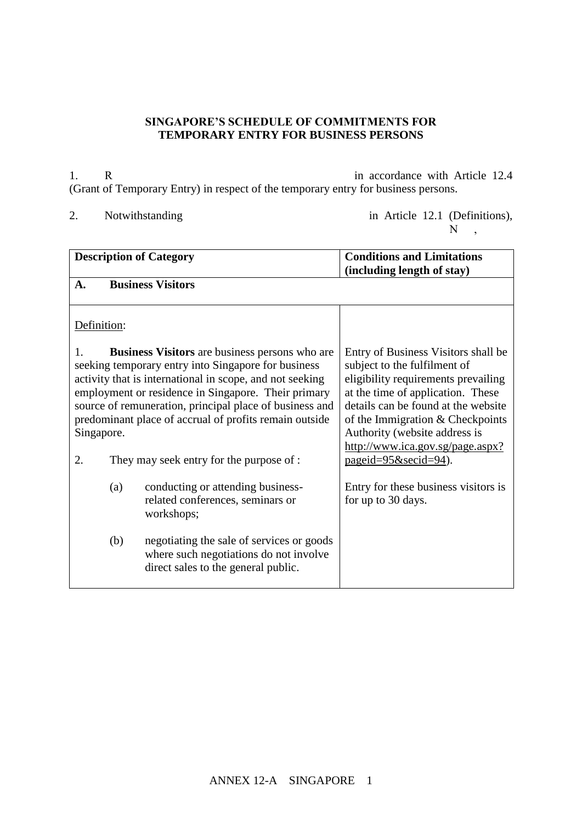## **SINGAPORE'S SCHEDULE OF COMMITMENTS FOR TEMPORARY ENTRY FOR BUSINESS PERSONS**

1. R in accordance with Article 12.4 (Grant of Temporary Entry) in respect of the temporary entry for business persons.

- 
- 2. Notwithstanding  $\frac{1}{N}$ ,  $\frac{1}{N}$ ,  $\frac{1}{N}$ ,  $\frac{1}{N}$ ,  $\frac{1}{N}$ ,  $\frac{1}{N}$  $\mathbf{N}$  ,

| <b>Description of Category</b>                                                                                                                                                                                                                                                                                                                                                 |     |                                                                                                                            | <b>Conditions and Limitations</b>                                                                                                                                                                                                                                                                                            |
|--------------------------------------------------------------------------------------------------------------------------------------------------------------------------------------------------------------------------------------------------------------------------------------------------------------------------------------------------------------------------------|-----|----------------------------------------------------------------------------------------------------------------------------|------------------------------------------------------------------------------------------------------------------------------------------------------------------------------------------------------------------------------------------------------------------------------------------------------------------------------|
| $\mathbf{A}$ .                                                                                                                                                                                                                                                                                                                                                                 |     | <b>Business Visitors</b>                                                                                                   | (including length of stay)                                                                                                                                                                                                                                                                                                   |
| Definition:                                                                                                                                                                                                                                                                                                                                                                    |     |                                                                                                                            |                                                                                                                                                                                                                                                                                                                              |
| <b>Business Visitors</b> are business persons who are<br>1.<br>seeking temporary entry into Singapore for business<br>activity that is international in scope, and not seeking<br>employment or residence in Singapore. Their primary<br>source of remuneration, principal place of business and<br>predominant place of accrual of profits remain outside<br>Singapore.<br>2. |     | They may seek entry for the purpose of :                                                                                   | Entry of Business Visitors shall be<br>subject to the fulfilment of<br>eligibility requirements prevailing<br>at the time of application. These<br>details can be found at the website<br>of the Immigration & Checkpoints<br>Authority (website address is<br>http://www.ica.gov.sg/page.aspx?<br>$pageid = 95$ &secid=94). |
|                                                                                                                                                                                                                                                                                                                                                                                | (a) | conducting or attending business-<br>related conferences, seminars or<br>workshops;                                        | Entry for these business visitors is<br>for up to 30 days.                                                                                                                                                                                                                                                                   |
|                                                                                                                                                                                                                                                                                                                                                                                | (b) | negotiating the sale of services or goods<br>where such negotiations do not involve<br>direct sales to the general public. |                                                                                                                                                                                                                                                                                                                              |